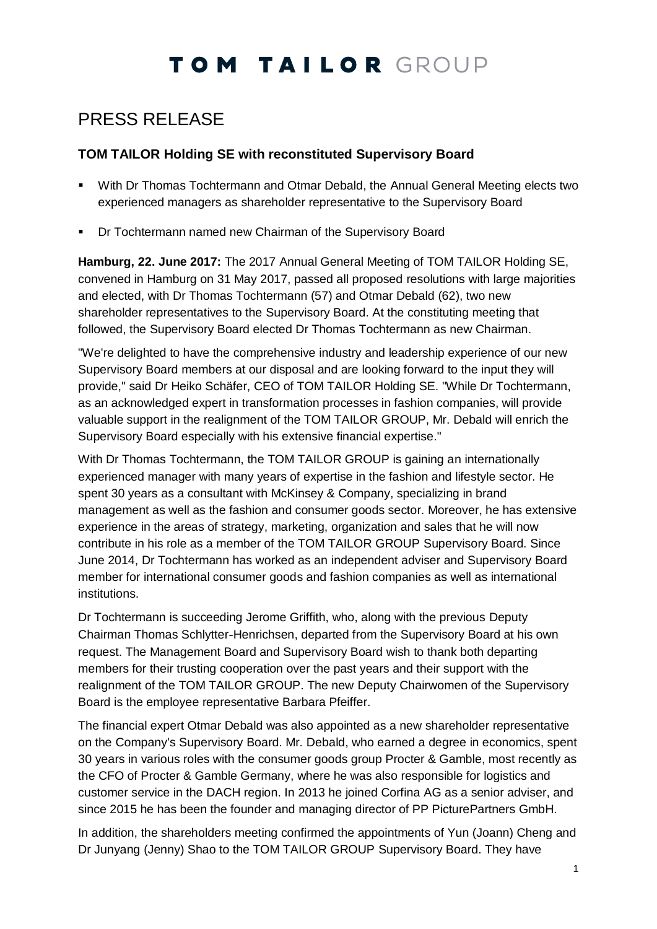# TOM TAILOR GROUP

### PRESS RELEASE

#### **TOM TAILOR Holding SE with reconstituted Supervisory Board**

- With Dr Thomas Tochtermann and Otmar Debald, the Annual General Meeting elects two experienced managers as shareholder representative to the Supervisory Board
- Dr Tochtermann named new Chairman of the Supervisory Board

**Hamburg, 22. June 2017:** The 2017 Annual General Meeting of TOM TAILOR Holding SE, convened in Hamburg on 31 May 2017, passed all proposed resolutions with large majorities and elected, with Dr Thomas Tochtermann (57) and Otmar Debald (62), two new shareholder representatives to the Supervisory Board. At the constituting meeting that followed, the Supervisory Board elected Dr Thomas Tochtermann as new Chairman.

"We're delighted to have the comprehensive industry and leadership experience of our new Supervisory Board members at our disposal and are looking forward to the input they will provide," said Dr Heiko Schäfer, CEO of TOM TAILOR Holding SE. "While Dr Tochtermann, as an acknowledged expert in transformation processes in fashion companies, will provide valuable support in the realignment of the TOM TAILOR GROUP, Mr. Debald will enrich the Supervisory Board especially with his extensive financial expertise."

With Dr Thomas Tochtermann, the TOM TAILOR GROUP is gaining an internationally experienced manager with many years of expertise in the fashion and lifestyle sector. He spent 30 years as a consultant with McKinsey & Company, specializing in brand management as well as the fashion and consumer goods sector. Moreover, he has extensive experience in the areas of strategy, marketing, organization and sales that he will now contribute in his role as a member of the TOM TAILOR GROUP Supervisory Board. Since June 2014, Dr Tochtermann has worked as an independent adviser and Supervisory Board member for international consumer goods and fashion companies as well as international institutions.

Dr Tochtermann is succeeding Jerome Griffith, who, along with the previous Deputy Chairman Thomas Schlytter-Henrichsen, departed from the Supervisory Board at his own request. The Management Board and Supervisory Board wish to thank both departing members for their trusting cooperation over the past years and their support with the realignment of the TOM TAILOR GROUP. The new Deputy Chairwomen of the Supervisory Board is the employee representative Barbara Pfeiffer.

The financial expert Otmar Debald was also appointed as a new shareholder representative on the Company's Supervisory Board. Mr. Debald, who earned a degree in economics, spent 30 years in various roles with the consumer goods group Procter & Gamble, most recently as the CFO of Procter & Gamble Germany, where he was also responsible for logistics and customer service in the DACH region. In 2013 he joined Corfina AG as a senior adviser, and since 2015 he has been the founder and managing director of PP PicturePartners GmbH.

In addition, the shareholders meeting confirmed the appointments of Yun (Joann) Cheng and Dr Junyang (Jenny) Shao to the TOM TAILOR GROUP Supervisory Board. They have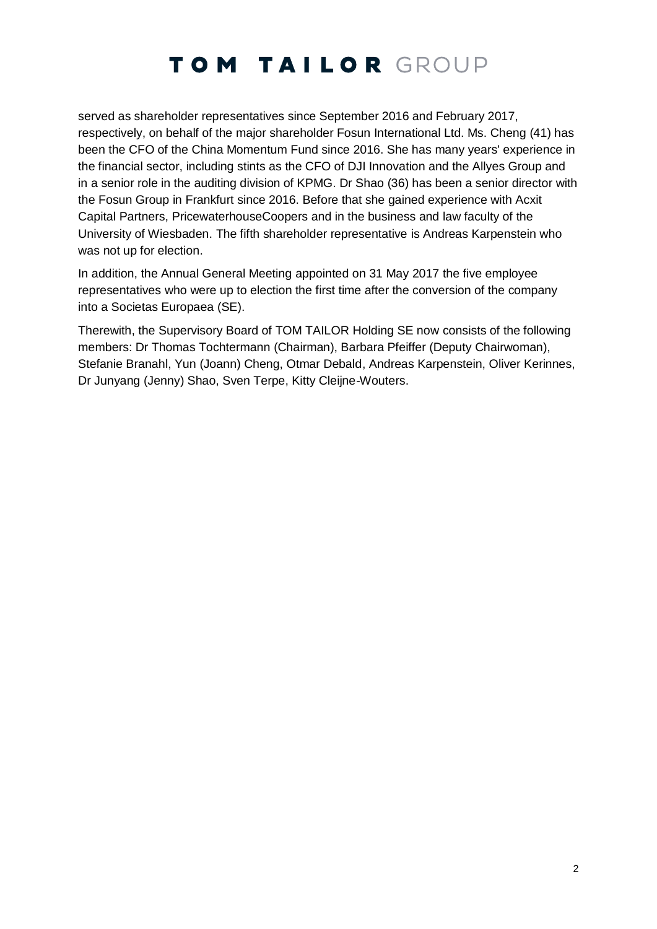## TOM TAILOR GROUP

served as shareholder representatives since September 2016 and February 2017, respectively, on behalf of the major shareholder Fosun International Ltd. Ms. Cheng (41) has been the CFO of the China Momentum Fund since 2016. She has many years' experience in the financial sector, including stints as the CFO of DJI Innovation and the Allyes Group and in a senior role in the auditing division of KPMG. Dr Shao (36) has been a senior director with the Fosun Group in Frankfurt since 2016. Before that she gained experience with Acxit Capital Partners, PricewaterhouseCoopers and in the business and law faculty of the University of Wiesbaden. The fifth shareholder representative is Andreas Karpenstein who was not up for election.

In addition, the Annual General Meeting appointed on 31 May 2017 the five employee representatives who were up to election the first time after the conversion of the company into a Societas Europaea (SE).

Therewith, the Supervisory Board of TOM TAILOR Holding SE now consists of the following members: Dr Thomas Tochtermann (Chairman), Barbara Pfeiffer (Deputy Chairwoman), Stefanie Branahl, Yun (Joann) Cheng, Otmar Debald, Andreas Karpenstein, Oliver Kerinnes, Dr Junyang (Jenny) Shao, Sven Terpe, Kitty Cleijne-Wouters.